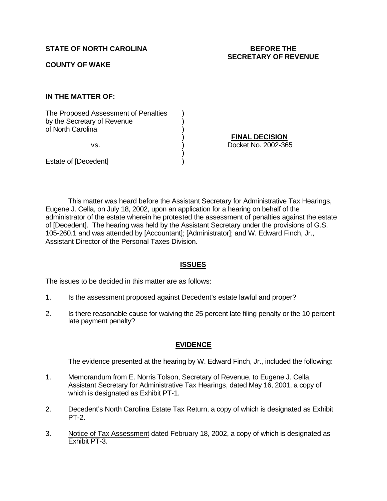**STATE OF NORTH CAROLINA BEFORE THE**

**COUNTY OF WAKE**

**IN THE MATTER OF:**

The Proposed Assessment of Penalties (a) by the Secretary of Revenue (a) of North Carolina )

Estate of [Decedent] )

) **FINAL DECISION** vs. ) Docket No. 2002-365

This matter was heard before the Assistant Secretary for Administrative Tax Hearings, Eugene J. Cella, on July 18, 2002, upon an application for a hearing on behalf of the administrator of the estate wherein he protested the assessment of penalties against the estate of [Decedent]. The hearing was held by the Assistant Secretary under the provisions of G.S. 105-260.1 and was attended by [Accountant]; [Administrator]; and W. Edward Finch, Jr., Assistant Director of the Personal Taxes Division.

)

# **ISSUES**

The issues to be decided in this matter are as follows:

- 1. Is the assessment proposed against Decedent's estate lawful and proper?
- 2. Is there reasonable cause for waiving the 25 percent late filing penalty or the 10 percent late payment penalty?

## **EVIDENCE**

The evidence presented at the hearing by W. Edward Finch, Jr., included the following:

- 1. Memorandum from E. Norris Tolson, Secretary of Revenue, to Eugene J. Cella, Assistant Secretary for Administrative Tax Hearings, dated May 16, 2001, a copy of which is designated as Exhibit PT-1.
- 2. Decedent's North Carolina Estate Tax Return, a copy of which is designated as Exhibit PT-2.
- 3. Notice of Tax Assessment dated February 18, 2002, a copy of which is designated as Exhibit PT-3.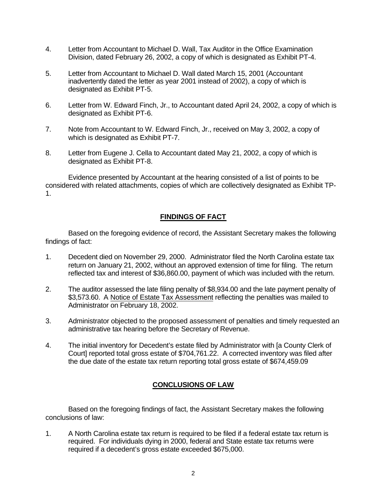- 4. Letter from Accountant to Michael D. Wall, Tax Auditor in the Office Examination Division, dated February 26, 2002, a copy of which is designated as Exhibit PT-4.
- 5. Letter from Accountant to Michael D. Wall dated March 15, 2001 (Accountant inadvertently dated the letter as year 2001 instead of 2002), a copy of which is designated as Exhibit PT-5.
- 6. Letter from W. Edward Finch, Jr., to Accountant dated April 24, 2002, a copy of which is designated as Exhibit PT-6.
- 7. Note from Accountant to W. Edward Finch, Jr., received on May 3, 2002, a copy of which is designated as Exhibit PT-7.
- 8. Letter from Eugene J. Cella to Accountant dated May 21, 2002, a copy of which is designated as Exhibit PT-8.

Evidence presented by Accountant at the hearing consisted of a list of points to be considered with related attachments, copies of which are collectively designated as Exhibit TP-1.

# **FINDINGS OF FACT**

Based on the foregoing evidence of record, the Assistant Secretary makes the following findings of fact:

- 1. Decedent died on November 29, 2000. Administrator filed the North Carolina estate tax return on January 21, 2002, without an approved extension of time for filing. The return reflected tax and interest of \$36,860.00, payment of which was included with the return.
- 2. The auditor assessed the late filing penalty of \$8,934.00 and the late payment penalty of \$3,573.60. A Notice of Estate Tax Assessment reflecting the penalties was mailed to Administrator on February 18, 2002.
- 3. Administrator objected to the proposed assessment of penalties and timely requested an administrative tax hearing before the Secretary of Revenue.
- 4. The initial inventory for Decedent's estate filed by Administrator with [a County Clerk of Court] reported total gross estate of \$704,761.22. A corrected inventory was filed after the due date of the estate tax return reporting total gross estate of \$674,459.09

# **CONCLUSIONS OF LAW**

Based on the foregoing findings of fact, the Assistant Secretary makes the following conclusions of law:

1. A North Carolina estate tax return is required to be filed if a federal estate tax return is required. For individuals dying in 2000, federal and State estate tax returns were required if a decedent's gross estate exceeded \$675,000.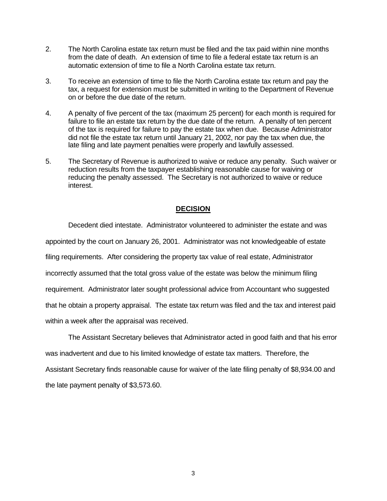- 2. The North Carolina estate tax return must be filed and the tax paid within nine months from the date of death. An extension of time to file a federal estate tax return is an automatic extension of time to file a North Carolina estate tax return.
- 3. To receive an extension of time to file the North Carolina estate tax return and pay the tax, a request for extension must be submitted in writing to the Department of Revenue on or before the due date of the return.
- 4. A penalty of five percent of the tax (maximum 25 percent) for each month is required for failure to file an estate tax return by the due date of the return. A penalty of ten percent of the tax is required for failure to pay the estate tax when due. Because Administrator did not file the estate tax return until January 21, 2002, nor pay the tax when due, the late filing and late payment penalties were properly and lawfully assessed.
- 5. The Secretary of Revenue is authorized to waive or reduce any penalty. Such waiver or reduction results from the taxpayer establishing reasonable cause for waiving or reducing the penalty assessed. The Secretary is not authorized to waive or reduce interest.

## **DECISION**

Decedent died intestate. Administrator volunteered to administer the estate and was appointed by the court on January 26, 2001. Administrator was not knowledgeable of estate filing requirements. After considering the property tax value of real estate, Administrator incorrectly assumed that the total gross value of the estate was below the minimum filing requirement. Administrator later sought professional advice from Accountant who suggested that he obtain a property appraisal. The estate tax return was filed and the tax and interest paid within a week after the appraisal was received.

The Assistant Secretary believes that Administrator acted in good faith and that his error was inadvertent and due to his limited knowledge of estate tax matters. Therefore, the Assistant Secretary finds reasonable cause for waiver of the late filing penalty of \$8,934.00 and the late payment penalty of \$3,573.60.